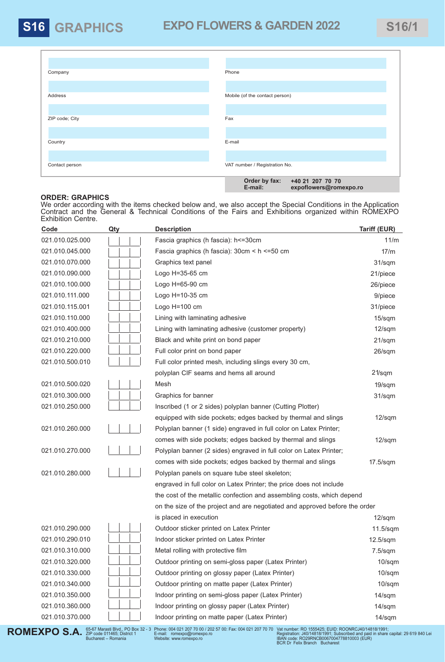## **S16 GRAPHICS EXPO FLOWERS & GARDEN 2022** S16/1

| Company        | Phone                                                                  |
|----------------|------------------------------------------------------------------------|
|                |                                                                        |
| Address        | Mobile (of the contact person)                                         |
|                |                                                                        |
| ZIP code; City | Fax                                                                    |
|                |                                                                        |
| Country        | E-mail                                                                 |
|                |                                                                        |
| Contact person | VAT number / Registration No.                                          |
|                | Order by fax:<br>+40 21 207 70 70<br>E-mail:<br>expoflowers@romexpo.ro |

## **ORDER: GRAPHICS**

We order according with the items checked below and, we also accept the Special Conditions in the Application Contract and the General & Technical Conditions of the Fairs and Exhibitions organized within ROMEXPO Exhibition Centre.

| Code            | Qty | <b>Description</b>                                                          | <b>Tariff (EUR)</b> |
|-----------------|-----|-----------------------------------------------------------------------------|---------------------|
| 021.010.025.000 |     | Fascia graphics (h fascia): h <= 30cm                                       | 11/m                |
| 021.010.045.000 |     | Fascia graphics (h fascia): 30cm < h <= 50 cm                               | 17/m                |
| 021.010.070.000 |     | Graphics text panel                                                         | 31/sqm              |
| 021.010.090.000 |     | Logo H=35-65 cm                                                             | 21/piece            |
| 021.010.100.000 |     | Logo H=65-90 cm                                                             | 26/piece            |
| 021.010.111.000 |     | Logo H=10-35 cm                                                             | 9/piece             |
| 021.010.115.001 |     | Logo H=100 cm                                                               | 31/piece            |
| 021.010.110.000 |     | Lining with laminating adhesive                                             | 15/sqm              |
| 021.010.400.000 |     | Lining with laminating adhesive (customer property)                         | $12$ /sqm           |
| 021.010.210.000 |     | Black and white print on bond paper                                         | 21/sqm              |
| 021.010.220.000 |     | Full color print on bond paper                                              | 26/sqm              |
| 021.010.500.010 |     | Full color printed mesh, including slings every 30 cm,                      |                     |
|                 |     | polyplan CIF seams and hems all around                                      | $21$ /sqm           |
| 021.010.500.020 |     | Mesh                                                                        | 19/sqm              |
| 021.010.300.000 |     | Graphics for banner                                                         | 31/sqm              |
| 021.010.250.000 |     | Inscribed (1 or 2 sides) polyplan banner (Cutting Plotter)                  |                     |
|                 |     | equipped with side pockets; edges backed by thermal and slings              | $12$ /sqm           |
| 021.010.260.000 |     | Polyplan banner (1 side) engraved in full color on Latex Printer;           |                     |
|                 |     | comes with side pockets; edges backed by thermal and slings                 | $12$ /sqm           |
| 021.010.270.000 |     | Polyplan banner (2 sides) engraved in full color on Latex Printer;          |                     |
|                 |     | comes with side pockets; edges backed by thermal and slings                 | 17.5/sqm            |
| 021.010.280.000 |     | Polyplan panels on square tube steel skeleton;                              |                     |
|                 |     | engraved in full color on Latex Printer; the price does not include         |                     |
|                 |     | the cost of the metallic confection and assembling costs, which depend      |                     |
|                 |     | on the size of the project and are negotiated and approved before the order |                     |
|                 |     | is placed in execution                                                      | $12$ /sqm           |
| 021.010.290.000 |     | Outdoor sticker printed on Latex Printer                                    | $11.5$ /sqm         |
| 021.010.290.010 |     | Indoor sticker printed on Latex Printer                                     | $12.5$ /sqm         |
| 021.010.310.000 |     | Metal rolling with protective film                                          | $7.5$ /sqm          |
| 021.010.320.000 |     | Outdoor printing on semi-gloss paper (Latex Printer)                        | $10$ /sqm           |
| 021.010.330.000 |     | Outdoor printing on glossy paper (Latex Printer)                            | $10$ /sqm           |
| 021.010.340.000 |     | Outdoor printing on matte paper (Latex Printer)                             | $10$ /sqm           |
| 021.010.350.000 |     | Indoor printing on semi-gloss paper (Latex Printer)                         | $14$ /sqm           |
| 021.010.360.000 |     | Indoor printing on glossy paper (Latex Printer)                             | $14$ /sqm           |
| 021.010.370.000 |     | Indoor printing on matte paper (Latex Printer)                              | $14$ /sqm           |
|                 |     |                                                                             |                     |

**ROMEXPO S.A.** *S*5-67 Marasti Blvd., PO Box 32 - 3<br>Bucharest – Romania

Vat number: RO 1555425; EUID: ROONRCJ40/14818/1991;<br>Registration: J40/14818/1991; Subscribed and paid in share capital: 29 619 840 Lei<br>IBAN code: RO29RNCB0067004778810003 (EUR)<br>BCR Dr Felix Branch Bucharest Phone: 004 021 207 70 00 / 202 57 00: Fax: 004 021 207 70 70 E-mail: romexpo@romexpo.ro Website: www.romexpo.ro

**expoflowers@romexpo.ro**